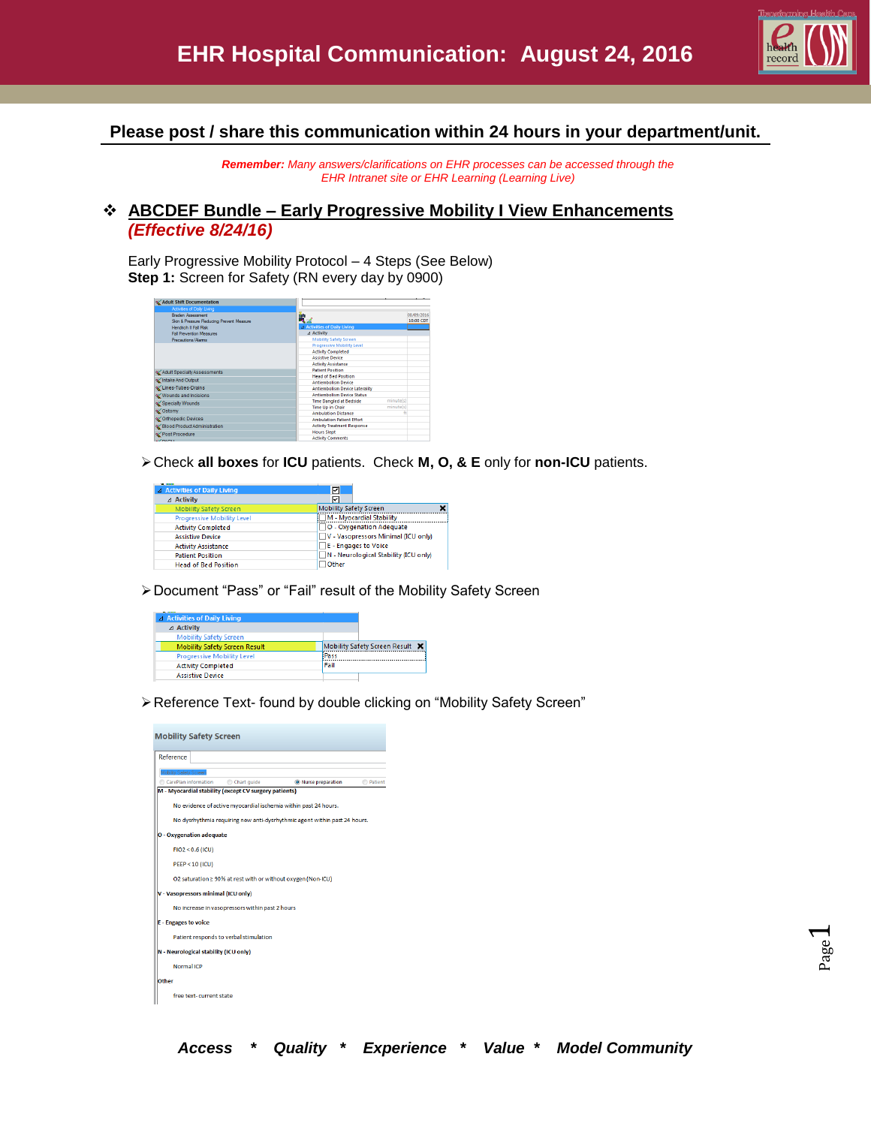

**Please post / share this communication within 24 hours in your department/unit.**

*Remember: Many answers/clarifications on EHR processes can be accessed through the EHR Intranet site or EHR Learning (Learning Live)*

#### **ABCDEF Bundle – Early Progressive Mobility I View Enhancements** *(Effective 8/24/16)*

Early Progressive Mobility Protocol – 4 Steps (See Below) **Step 1:** Screen for Safety (RN every day by 0900)

| Adult Shift Documentation                |                                             |            |
|------------------------------------------|---------------------------------------------|------------|
| Activities of Daily Living               |                                             |            |
| <b>Braden Assessment</b>                 | Ч.                                          | 08/09/2016 |
| Skin & Pressure Reducing Prevent Measure |                                             | 10:00 CDT  |
| Hendrich II Fall Risk                    | 4 Activities of Daily Living                |            |
| <b>Fall Prevention Measures</b>          | ⊿ Activity                                  |            |
| Precautions/Alams                        | <b>Mobility Safety Screen</b>               |            |
|                                          | Progressive Mobility Level                  |            |
|                                          | <b>Activity Completed</b>                   |            |
|                                          | <b>Assistive Device</b>                     |            |
|                                          | <b>Activity Assistance</b>                  |            |
| Adult Specialty Assessments              | <b>Patient Position</b>                     |            |
| Intake And Output                        | <b>Head of Bed Position</b>                 |            |
|                                          | <b>Antiembolism Device</b>                  |            |
| Unes-Tubes-Drains                        | <b>Antiembolism Device Laterality</b>       |            |
| Wounds and Incisions                     | <b>Antiembolism Device Status</b>           |            |
| Specialty Wounds                         | minute(s)<br><b>Time Dangled at Bedside</b> |            |
| siomy of                                 | minute(s)<br><b>Time Up in Chair</b>        |            |
|                                          | <b>Ambulation Distance</b>                  |            |
| of Orthopedic Devices                    | <b>Ambulation Patient Effort</b>            |            |
| Silood Product Administration            | <b>Activity Treatment Response</b>          |            |
| Post Procedure                           | <b>Hours Slept</b>                          |            |
| <b><i>ALCOHOL:</i></b>                   | <b>Activity Comments</b>                    |            |

Check **all boxes** for **ICU** patients. Check **M, O, & E** only for **non-ICU** patients.

| A Activities of Daily Living      | 罓                                     |
|-----------------------------------|---------------------------------------|
| ⊿ Activity                        | ঢ়                                    |
| <b>Mobility Safety Screen</b>     | <b>Mobility Safety Screen</b>         |
| <b>Progressive Mobility Level</b> | M - Myocardial Stability              |
| <b>Activity Completed</b>         | O - Oxygenation Adequate              |
| <b>Assistive Device</b>           | V - Vasopressors Minimal (ICU only)   |
| <b>Activity Assistance</b>        | <b>E</b> - Engages to Voice           |
| <b>Patient Position</b>           | N - Neurological Stability (ICU only) |
| <b>Head of Bed Position</b>       | Other                                 |

Document "Pass" or "Fail" result of the Mobility Safety Screen

| ---<br><b>4 Activities of Daily Living</b> |                                 |  |  |
|--------------------------------------------|---------------------------------|--|--|
| $\triangle$ Activity                       |                                 |  |  |
| <b>Mobility Safety Screen</b>              |                                 |  |  |
| <b>Mobility Safety Screen Result</b>       | Mobility Safety Screen Result X |  |  |
| <b>Progressive Mobility Level</b>          | Pass                            |  |  |
| <b>Activity Completed</b>                  | Fail                            |  |  |
| <b>Assistive Device</b>                    |                                 |  |  |

Reference Text- found by double clicking on "Mobility Safety Screen"

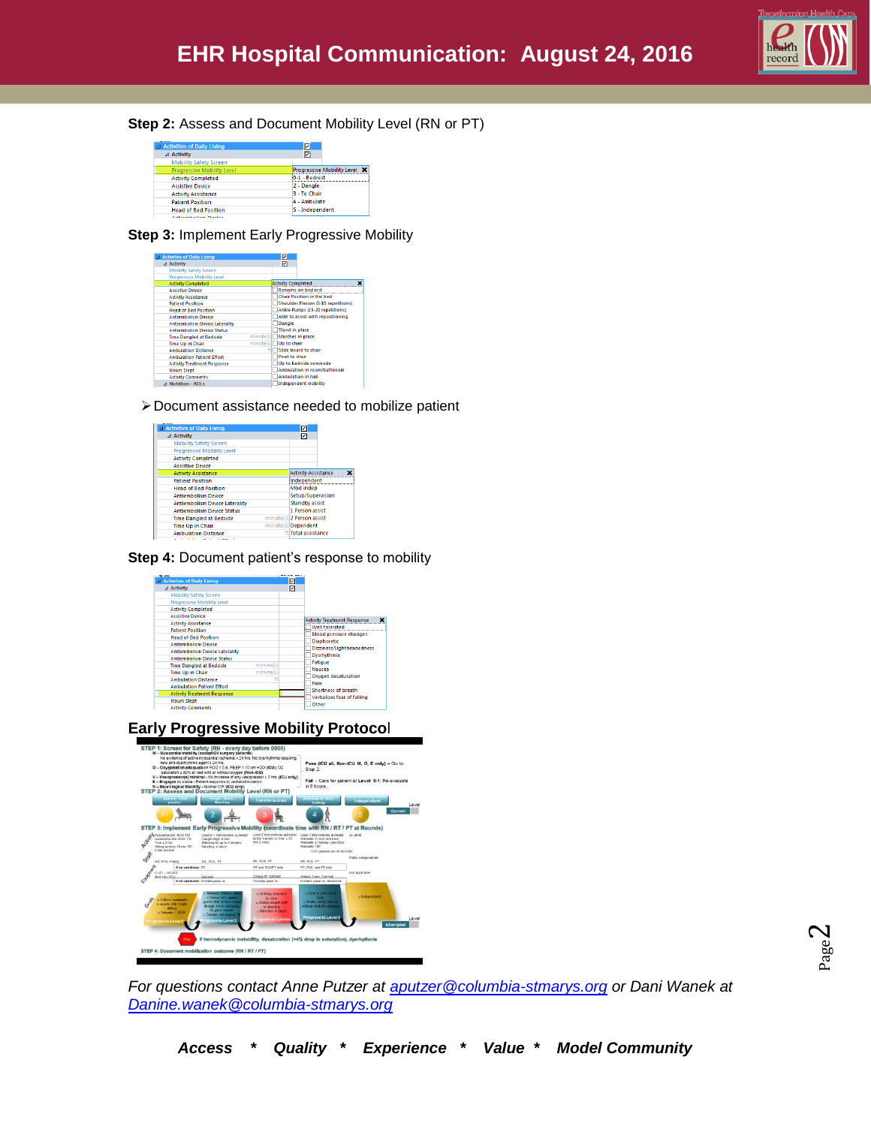

#### **Step 2:** Assess and Document Mobility Level (RN or PT)

| ----<br>4 Activities of Daily Living | 罓                                   |  |  |
|--------------------------------------|-------------------------------------|--|--|
| ⊿ Activity                           | 冈                                   |  |  |
| <b>Mobility Safety Screen</b>        |                                     |  |  |
| <b>Progressive Mobility Level</b>    | <b>Progressive Mobility Level X</b> |  |  |
| <b>Activity Completed</b>            | 10-1 - Bedrest                      |  |  |
| <b>Assistive Device</b>              | 2 - Dangle                          |  |  |
| <b>Activity Assistance</b>           | 3 - To Chair                        |  |  |
| <b>Patient Position</b>              | 4 - Ambulate                        |  |  |
| <b>Head of Bed Position</b>          | 5 - Independent                     |  |  |
|                                      |                                     |  |  |

#### **Step 3:** Implement Early Progressive Mobility

| 4 Activities of Daily Living          |           |                                   | ⊡                         |                                            |
|---------------------------------------|-----------|-----------------------------------|---------------------------|--------------------------------------------|
| ⊿ Activity                            |           |                                   | ☑                         |                                            |
| <b>Mobility Safety Screen</b>         |           |                                   |                           |                                            |
| <b>Progressive Mobility Level</b>     |           |                                   |                           |                                            |
| <b>Activity Completed</b>             |           |                                   | <b>Activity Completed</b> | $\mathbf x$                                |
| <b>Assistive Device</b>               |           |                                   |                           | <b>Remains on bed rest</b>                 |
| <b>Activity Assistance</b>            |           |                                   |                           | Chair Position in the bed                  |
| <b>Patient Position</b>               |           |                                   |                           | <b>Shoulder Flexion (5-10 repetitions)</b> |
| <b>Head of Bed Position</b>           |           |                                   |                           | Ankle Pumps (15-20 repetitions)            |
| <b>Antiembolism Device</b>            |           | Able to assist with repositioning |                           |                                            |
| <b>Antiembolism Device Laterality</b> | Dangle    |                                   |                           |                                            |
| <b>Antiembolism Device Status</b>     |           |                                   | <b>Stand in place</b>     |                                            |
| <b>Time Dangled at Bedside</b>        | minute(s) |                                   |                           | Marches in place                           |
| <b>Time Up in Chair</b>               | minute(s) |                                   | Up to chair               |                                            |
| <b>Ambulation Distance</b>            |           |                                   |                           | Slide board to chair                       |
| <b>Ambulation Patient Effort</b>      |           |                                   | Pivot to chair            |                                            |
| <b>Activity Treatment Response</b>    |           |                                   |                           | Up to bedside commode                      |
| <b>Hours Slept</b>                    |           |                                   |                           | Ambulation in room/bathroom                |
| <b>Activity Comments</b>              |           |                                   |                           | <b>Ambulation in hall</b>                  |
| A Nutrition - ADLs                    |           |                                   |                           | <b>Independent mobility</b>                |

Document assistance needed to mobilize patient

| △ Activities of Daily Living                      |                       | 囨                          |             |  |
|---------------------------------------------------|-----------------------|----------------------------|-------------|--|
| ⊿ Activity                                        |                       | 囨                          |             |  |
| <b>Mobility Safety Screen</b>                     |                       |                            |             |  |
| <b>Progressive Mobility Level</b>                 |                       |                            |             |  |
| <b>Activity Completed</b>                         |                       |                            |             |  |
| <b>Assistive Device</b>                           |                       |                            |             |  |
| <b>Activity Assistance</b>                        |                       | <b>Activity Assistance</b> |             |  |
| <b>Patient Position</b>                           |                       |                            | Independent |  |
| <b>Head of Bed Position</b>                       | Mod indep             |                            |             |  |
| <b>Antiembolism Device</b>                        | Setup/Supervision     |                            |             |  |
| <b>Antiembolism Device Laterality</b>             | <b>Standby assist</b> |                            |             |  |
| <b>Antiembolism Device Status</b>                 |                       | 1 Person assist            |             |  |
| <b>Time Dangled at Bedside</b>                    |                       | minute(s) 2 Person assist  |             |  |
| minute(s) Dependent<br><b>Time Up in Chair</b>    |                       |                            |             |  |
| ftlTotal assistance<br><b>Ambulation Distance</b> |                       |                            |             |  |

**Step 4: Document patient's response to mobility** 

| <b>WE MEET</b>                              |                                    |
|---------------------------------------------|------------------------------------|
| 4 Activities of Daily Living                | ☑                                  |
| ⊿ Activity                                  | ☑                                  |
| <b>Mobility Safety Screen</b>               |                                    |
| <b>Progressive Mobility Level</b>           |                                    |
| <b>Activity Completed</b>                   |                                    |
| <b>Assistive Device</b>                     | <b>Activity Treatment Response</b> |
| <b>Activity Assistance</b>                  |                                    |
| <b>Patient Position</b>                     | Well tolerated                     |
| <b>Head of Bed Position</b>                 | <b>Blood pressure changes</b>      |
| <b>Antiembolism Device</b>                  | <b>Diaphoretic</b>                 |
| <b>Antiembolism Device Laterality</b>       | Dizziness/Lightheadedness          |
| <b>Antiembolism Device Status</b>           | Dysrhythmia                        |
| minute(s)<br><b>Time Dangled at Bedside</b> | Fatigue                            |
| minute(s)<br><b>Time Up in Chair</b>        | <b>Nausea</b>                      |
| <b>Ambulation Distance</b>                  | Oxygen desaturation                |
| <b>Ambulation Patient Effort</b>            | Pain                               |
| <b>Activity Treatment Response</b>          | Shortness of breath                |
| <b>Hours Slept</b>                          | Verbalizes fear of falling         |
| <b>Activity Comments</b>                    | Other                              |

**Early Progressive Mobility Protoco**l



*For questions contact Anne Putzer at [aputzer@columbia-stmarys.org](mailto:aputzer@columbia-stmarys.org) or Dani Wanek at [Danine.wanek@columbia-stmarys.org](mailto:Danine.wanek@columbia-stmarys.org)*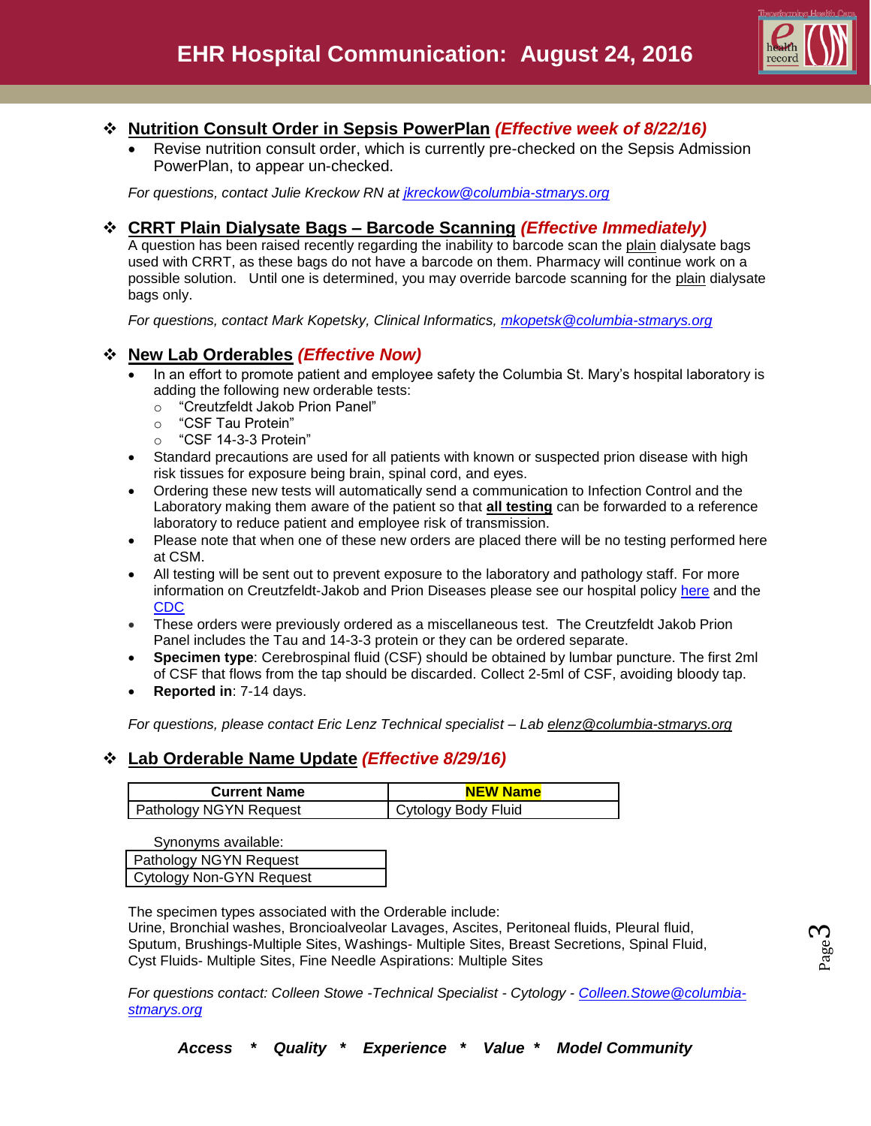

## **Nutrition Consult Order in Sepsis PowerPlan** *(Effective week of 8/22/16)*

 Revise nutrition consult order, which is currently pre-checked on the Sepsis Admission PowerPlan, to appear un-checked.

*For questions, contact Julie Kreckow RN at [jkreckow@columbia-stmarys.org](mailto:jkreckow@columbia-stmarys.org)*

#### **CRRT Plain Dialysate Bags – Barcode Scanning** *(Effective Immediately)*

A question has been raised recently regarding the inability to barcode scan the plain dialysate bags used with CRRT, as these bags do not have a barcode on them. Pharmacy will continue work on a possible solution. Until one is determined, you may override barcode scanning for the plain dialysate bags only.

*For questions, contact Mark Kopetsky, Clinical Informatics, [mkopetsk@columbia-stmarys.org](mailto:mkopetsk@columbia-stmarys.org)*

## **New Lab Orderables** *(Effective Now)*

- In an effort to promote patient and employee safety the Columbia St. Mary's hospital laboratory is adding the following new orderable tests:
	- o "Creutzfeldt Jakob Prion Panel"
	- o "CSF Tau Protein"
	- o "CSF 14-3-3 Protein"
- Standard precautions are used for all patients with known or suspected prion disease with high risk tissues for exposure being brain, spinal cord, and eyes.
- Ordering these new tests will automatically send a communication to Infection Control and the Laboratory making them aware of the patient so that **all testing** can be forwarded to a reference laboratory to reduce patient and employee risk of transmission.
- Please note that when one of these new orders are placed there will be no testing performed here at CSM.
- All testing will be sent out to prevent exposure to the laboratory and pathology staff. For more information on Creutzfeldt-Jakob and Prion Diseases please see our hospital policy [here](https://columbia-stmarys.policystat.com/policy/848898/latest/) and the [CDC](http://www.cdc.gov/prions/cjd/index.html)
- These orders were previously ordered as a miscellaneous test. The Creutzfeldt Jakob Prion Panel includes the Tau and 14-3-3 protein or they can be ordered separate.
- **Specimen type**: Cerebrospinal fluid (CSF) should be obtained by lumbar puncture. The first 2ml of CSF that flows from the tap should be discarded. Collect 2-5ml of CSF, avoiding bloody tap.
- **Reported in**: 7-14 days.

*For questions, please contact Eric Lenz Technical specialist – Lab [elenz@columbia-stmarys.org](mailto:elenz@columbia-stmarys.org)*

# **Lab Orderable Name Update** *(Effective 8/29/16)*

| <b>Current Name</b>           | NEW Name            |
|-------------------------------|---------------------|
| <b>Pathology NGYN Request</b> | Cytology Body Fluid |

Synonyms available:

| Pathology NGYN Request   |
|--------------------------|
| Cytology Non-GYN Request |

The specimen types associated with the Orderable include:

Urine, Bronchial washes, Broncioalveolar Lavages, Ascites, Peritoneal fluids, Pleural fluid, Sputum, Brushings-Multiple Sites, Washings- Multiple Sites, Breast Secretions, Spinal Fluid, Cyst Fluids- Multiple Sites, Fine Needle Aspirations: Multiple Sites

*For questions contact: Colleen Stowe -Technical Specialist - Cytology - [Colleen.Stowe@columbia](mailto:Colleen.Stowe@columbia-stmarys.org)[stmarys.org](mailto:Colleen.Stowe@columbia-stmarys.org)*

Page ო